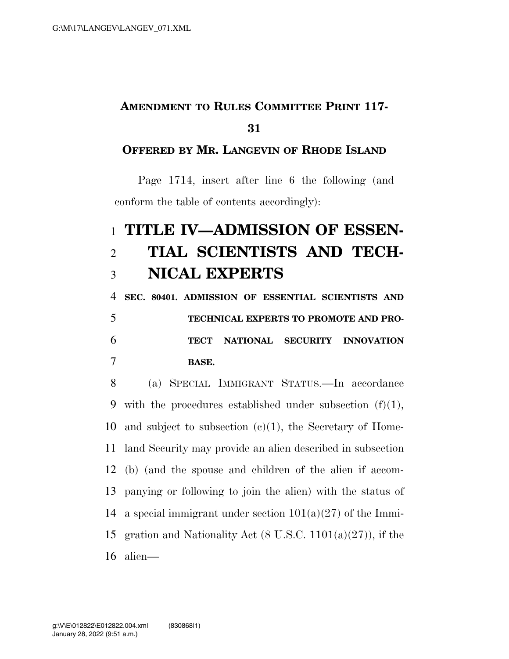## **AMENDMENT TO RULES COMMITTEE PRINT 117- 31**

## **OFFERED BY MR. LANGEVIN OF RHODE ISLAND**

Page 1714, insert after line 6 the following (and conform the table of contents accordingly):

## 1 **TITLE IV—ADMISSION OF ESSEN-**2 **TIAL SCIENTISTS AND TECH-**3 **NICAL EXPERTS**

 **SEC. 80401. ADMISSION OF ESSENTIAL SCIENTISTS AND TECHNICAL EXPERTS TO PROMOTE AND PRO- TECT NATIONAL SECURITY INNOVATION**  7 **BASE.** 

8 (a) SPECIAL IMMIGRANT STATUS.—In accordance 9 with the procedures established under subsection  $(f)(1)$ , 10 and subject to subsection  $(c)(1)$ , the Secretary of Home-11 land Security may provide an alien described in subsection 12 (b) (and the spouse and children of the alien if accom-13 panying or following to join the alien) with the status of 14 a special immigrant under section  $101(a)(27)$  of the Immi-15 gration and Nationality Act  $(8 \text{ U.S.C. } 1101(a)(27))$ , if the 16 alien—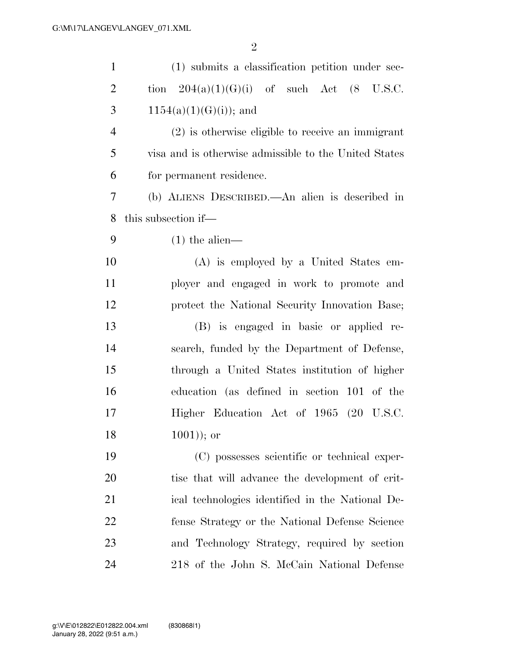| $\mathbf{1}$   | (1) submits a classification petition under sec-        |
|----------------|---------------------------------------------------------|
| $\overline{c}$ | tion $204(a)(1)(G)(i)$ of such Act $(8 \text{ U.S.C.})$ |
| 3              | $1154(a)(1)(G(i));$ and                                 |
| $\overline{4}$ | $(2)$ is otherwise eligible to receive an immigrant     |
| 5              | visa and is otherwise admissible to the United States   |
| 6              | for permanent residence.                                |
| 7              | (b) ALIENS DESCRIBED.—An alien is described in          |
| 8              | this subsection if—                                     |
| 9              | $(1)$ the alien—                                        |
| 10             | (A) is employed by a United States em-                  |
| 11             | ployer and engaged in work to promote and               |
| 12             | protect the National Security Innovation Base;          |
| 13             | (B) is engaged in basic or applied re-                  |
| 14             | search, funded by the Department of Defense,            |
| 15             | through a United States institution of higher           |
| 16             | education (as defined in section 101 of the             |
| 17             | Higher Education Act of 1965 (20 U.S.C.                 |
| 18             | $(1001)$ ; or                                           |
| 19             | (C) possesses scientific or technical exper-            |
| 20             | tise that will advance the development of crit-         |
| 21             | ical technologies identified in the National De-        |
| 22             | fense Strategy or the National Defense Science          |
| 23             | and Technology Strategy, required by section            |
| 24             | 218 of the John S. McCain National Defense              |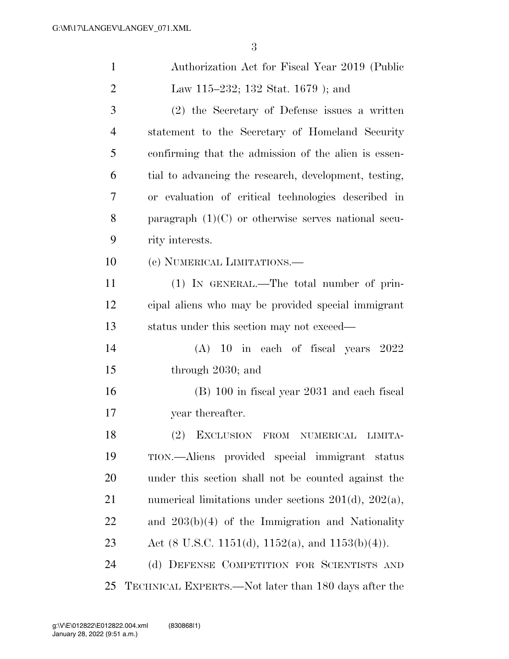| $\mathbf{1}$   | Authorization Act for Fiscal Year 2019 (Public             |
|----------------|------------------------------------------------------------|
| $\overline{2}$ | Law 115–232; 132 Stat. 1679 ); and                         |
| 3              | (2) the Secretary of Defense issues a written              |
| $\overline{4}$ | statement to the Secretary of Homeland Security            |
| 5              | confirming that the admission of the alien is essen-       |
| 6              | tial to advancing the research, development, testing,      |
| 7              | or evaluation of critical technologies described in        |
| 8              | paragraph $(1)(C)$ or otherwise serves national secu-      |
| 9              | rity interests.                                            |
| 10             | (c) NUMERICAL LIMITATIONS.—                                |
| 11             | (1) IN GENERAL.—The total number of prin-                  |
| 12             | cipal aliens who may be provided special immigrant         |
| 13             | status under this section may not exceed—                  |
| 14             | $(A)$ 10 in each of fiscal years 2022                      |
| 15             | through 2030; and                                          |
| 16             | $(B)$ 100 in fiscal year 2031 and each fiscal              |
| 17             | year thereafter.                                           |
| 18             | EXCLUSION FROM NUMERICAL LIMITA-<br>(2)                    |
| 19             | TION.—Aliens provided special immigrant status             |
| 20             | under this section shall not be counted against the        |
| 21             | numerical limitations under sections $201(d)$ , $202(a)$ , |
| 22             | and $203(b)(4)$ of the Immigration and Nationality         |
| 23             | Act (8 U.S.C. 1151(d), 1152(a), and 1153(b)(4)).           |
| 24             | (d) DEFENSE COMPETITION FOR SCIENTISTS AND                 |
| 25             | TECHNICAL EXPERTS.—Not later than 180 days after the       |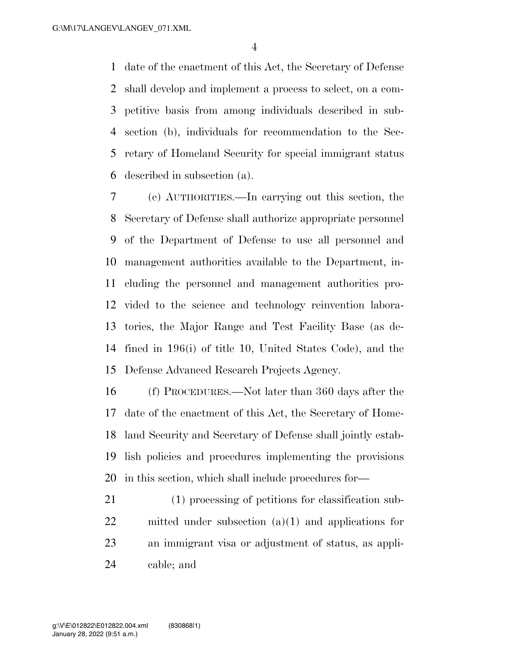date of the enactment of this Act, the Secretary of Defense shall develop and implement a process to select, on a com- petitive basis from among individuals described in sub- section (b), individuals for recommendation to the Sec- retary of Homeland Security for special immigrant status described in subsection (a).

 (e) AUTHORITIES.—In carrying out this section, the Secretary of Defense shall authorize appropriate personnel of the Department of Defense to use all personnel and management authorities available to the Department, in- cluding the personnel and management authorities pro- vided to the science and technology reinvention labora- tories, the Major Range and Test Facility Base (as de- fined in 196(i) of title 10, United States Code), and the Defense Advanced Research Projects Agency.

 (f) PROCEDURES.—Not later than 360 days after the date of the enactment of this Act, the Secretary of Home- land Security and Secretary of Defense shall jointly estab- lish policies and procedures implementing the provisions in this section, which shall include procedures for—

 (1) processing of petitions for classification sub- mitted under subsection (a)(1) and applications for an immigrant visa or adjustment of status, as appli-cable; and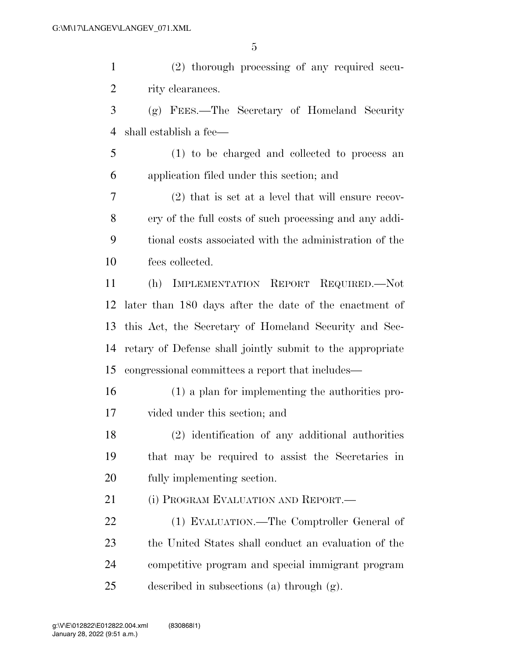(2) thorough processing of any required secu-2 rity clearances. (g) FEES.—The Secretary of Homeland Security shall establish a fee—

 (1) to be charged and collected to process an application filed under this section; and

 (2) that is set at a level that will ensure recov- ery of the full costs of such processing and any addi- tional costs associated with the administration of the fees collected.

 (h) IMPLEMENTATION REPORT REQUIRED.—Not later than 180 days after the date of the enactment of this Act, the Secretary of Homeland Security and Sec- retary of Defense shall jointly submit to the appropriate congressional committees a report that includes—

 (1) a plan for implementing the authorities pro-vided under this section; and

 (2) identification of any additional authorities that may be required to assist the Secretaries in fully implementing section.

21 (i) PROGRAM EVALUATION AND REPORT.—

 (1) EVALUATION.—The Comptroller General of the United States shall conduct an evaluation of the competitive program and special immigrant program described in subsections (a) through (g).